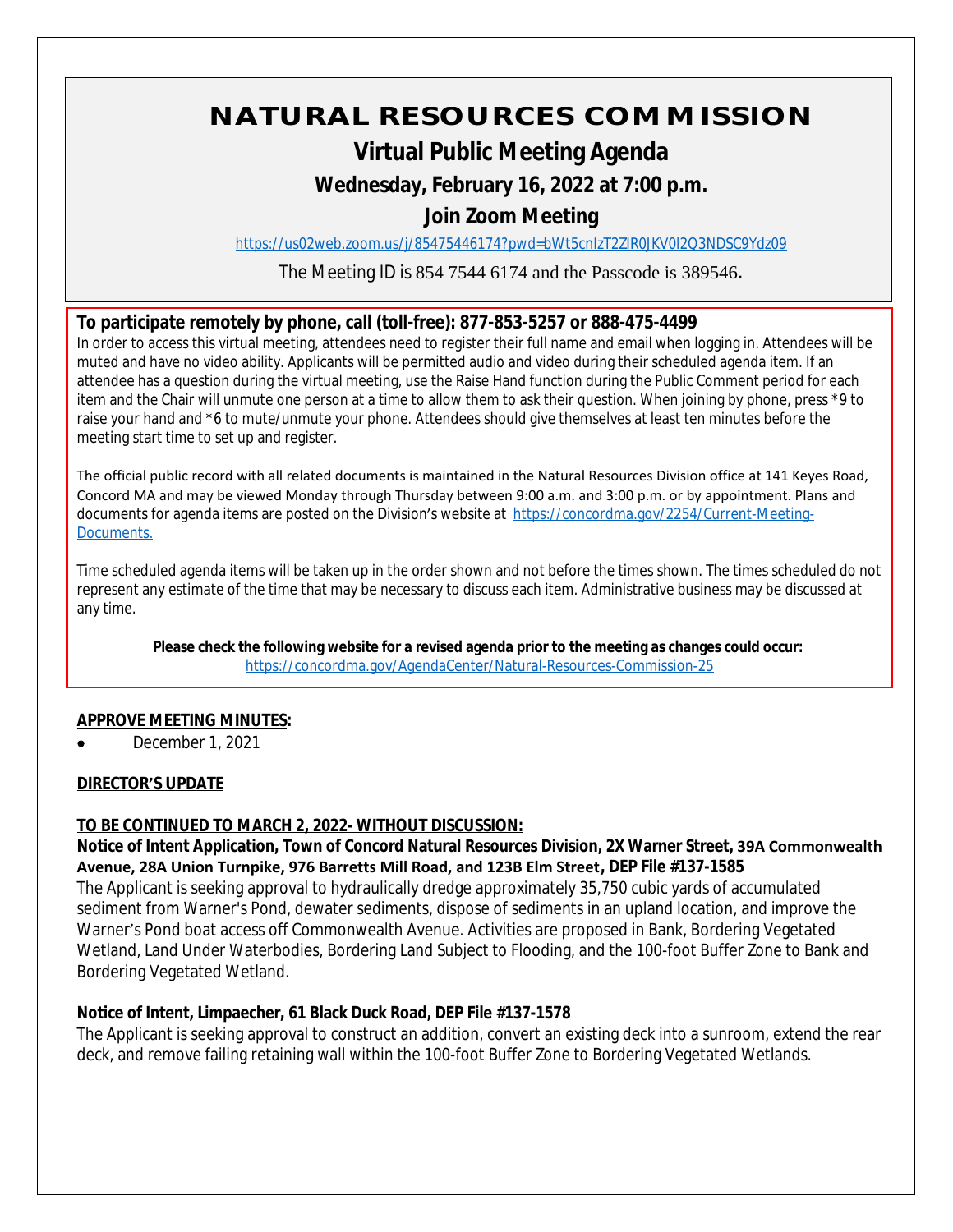# **NATURAL RESOURCES COMMISSION**

# **Virtual Public Meeting Agenda**

### **Wednesday, February 16, 2022 at 7:00 p.m.**

## **Join Zoom Meeting**

<https://us02web.zoom.us/j/85475446174?pwd=bWt5cnIzT2ZIR0JKV0l2Q3NDSC9Ydz09>

The Meeting ID is 854 7544 6174 and the Passcode is 389546.

#### **To participate remotely by phone, call (toll-free): 877-853-5257 or 888-475-4499**

In order to access this virtual meeting, attendees need to register their full name and email when logging in. Attendees will be muted and have no video ability. Applicants will be permitted audio and video during their scheduled agenda item. If an attendee has a question during the virtual meeting, use the Raise Hand function during the Public Comment period for each item and the Chair will unmute one person at a time to allow them to ask their question. When joining by phone, press \*9 to raise your hand and \*6 to mute/unmute your phone. Attendees should give themselves at least ten minutes before the meeting start time to set up and register.

The official public record with all related documents is maintained in the Natural Resources Division office at 141 Keyes Road, Concord MA and may be viewed Monday through Thursday between 9:00 a.m. and 3:00 p.m. or by appointment. Plans and documents for agenda items are posted on the Division's website at [https://concordma.gov/2254/Current-Meeting-](https://concordma.gov/2254/Current-Meeting-Documents)Documents.

Time scheduled agenda items will be taken up in the order shown and not before the times shown. The times scheduled do not represent any estimate of the time that may be necessary to discuss each item. Administrative business may be discussed at any time.

**Please check the following website for a revised agenda prior to the meeting as changes could occur:**  <https://concordma.gov/AgendaCenter/Natural-Resources-Commission-25>

#### **APPROVE MEETING MINUTES:**

December 1, 2021

#### **DIRECTOR'S UPDATE**

#### **TO BE CONTINUED TO MARCH 2, 2022- WITHOUT DISCUSSION:**

**Notice of Intent Application, Town of Concord Natural Resources Division, 2X Warner Street, 39A Commonwealth Avenue, 28A Union Turnpike, 976 Barretts Mill Road, and 123B Elm Street, DEP File #137-1585**

The Applicant is seeking approval to hydraulically dredge approximately 35,750 cubic yards of accumulated sediment from Warner's Pond, dewater sediments, dispose of sediments in an upland location, and improve the Warner's Pond boat access off Commonwealth Avenue. Activities are proposed in Bank, Bordering Vegetated Wetland, Land Under Waterbodies, Bordering Land Subject to Flooding, and the 100-foot Buffer Zone to Bank and Bordering Vegetated Wetland.

#### **Notice of Intent, Limpaecher, 61 Black Duck Road, DEP File #137-1578**

The Applicant is seeking approval to construct an addition, convert an existing deck into a sunroom, extend the rear deck, and remove failing retaining wall within the 100-foot Buffer Zone to Bordering Vegetated Wetlands.